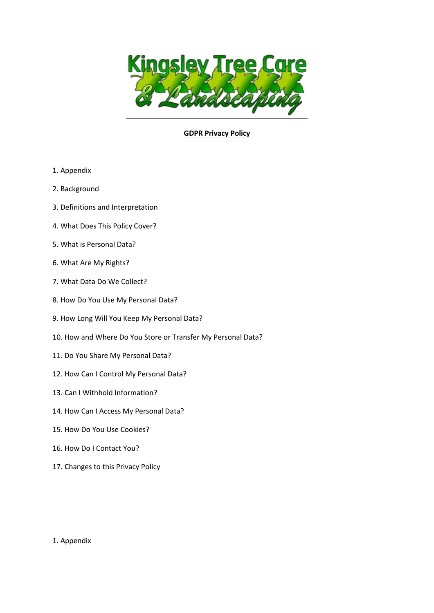

## **GDPR Privacy Policy**

- 1. Appendix
- 2. Background
- 3. Definitions and Interpretation
- 4. What Does This Policy Cover?
- 5. What is Personal Data?
- 6. What Are My Rights?
- 7. What Data Do We Collect?
- 8. How Do You Use My Personal Data?
- 9. How Long Will You Keep My Personal Data?
- 10. How and Where Do You Store or Transfer My Personal Data?
- 11. Do You Share My Personal Data?
- 12. How Can I Control My Personal Data?
- 13. Can I Withhold Information?
- 14. How Can I Access My Personal Data?
- 15. How Do You Use Cookies?
- 16. How Do I Contact You?
- 17. Changes to this Privacy Policy

### 1. Appendix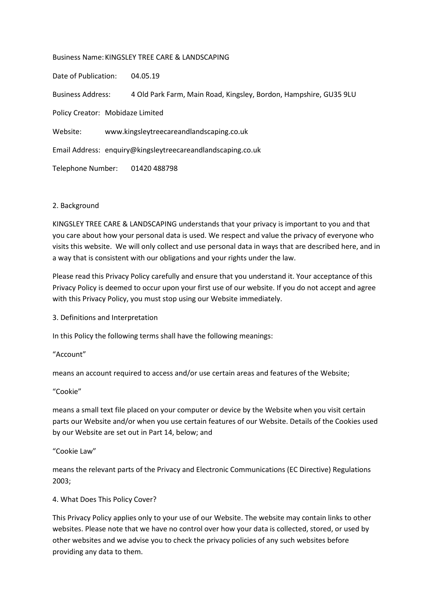Business Name:KINGSLEY TREE CARE & LANDSCAPING

Date of Publication: 04.05.19

Business Address: 4 Old Park Farm, Main Road, Kingsley, Bordon, Hampshire, GU35 9LU

Policy Creator: Mobidaze Limited

Website: www.kingsleytreecareandlandscaping.co.uk

Email Address: enquiry@kingsleytreecareandlandscaping.co.uk

Telephone Number: 01420 488798

### 2. Background

KINGSLEY TREE CARE & LANDSCAPING understands that your privacy is important to you and that you care about how your personal data is used. We respect and value the privacy of everyone who visits this website. We will only collect and use personal data in ways that are described here, and in a way that is consistent with our obligations and your rights under the law.

Please read this Privacy Policy carefully and ensure that you understand it. Your acceptance of this Privacy Policy is deemed to occur upon your first use of our website. If you do not accept and agree with this Privacy Policy, you must stop using our Website immediately.

3. Definitions and Interpretation

In this Policy the following terms shall have the following meanings:

"Account"

means an account required to access and/or use certain areas and features of the Website;

"Cookie"

means a small text file placed on your computer or device by the Website when you visit certain parts our Website and/or when you use certain features of our Website. Details of the Cookies used by our Website are set out in Part 14, below; and

"Cookie Law"

means the relevant parts of the Privacy and Electronic Communications (EC Directive) Regulations 2003;

### 4. What Does This Policy Cover?

This Privacy Policy applies only to your use of our Website. The website may contain links to other websites. Please note that we have no control over how your data is collected, stored, or used by other websites and we advise you to check the privacy policies of any such websites before providing any data to them.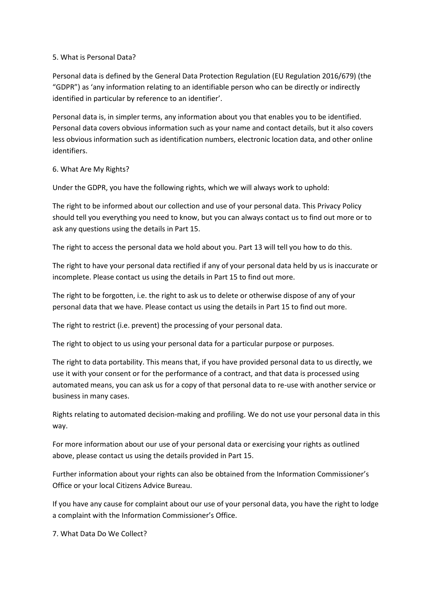### 5. What is Personal Data?

Personal data is defined by the General Data Protection Regulation (EU Regulation 2016/679) (the "GDPR") as 'any information relating to an identifiable person who can be directly or indirectly identified in particular by reference to an identifier'.

Personal data is, in simpler terms, any information about you that enables you to be identified. Personal data covers obvious information such as your name and contact details, but it also covers less obvious information such as identification numbers, electronic location data, and other online identifiers.

# 6. What Are My Rights?

Under the GDPR, you have the following rights, which we will always work to uphold:

The right to be informed about our collection and use of your personal data. This Privacy Policy should tell you everything you need to know, but you can always contact us to find out more or to ask any questions using the details in Part 15.

The right to access the personal data we hold about you. Part 13 will tell you how to do this.

The right to have your personal data rectified if any of your personal data held by us is inaccurate or incomplete. Please contact us using the details in Part 15 to find out more.

The right to be forgotten, i.e. the right to ask us to delete or otherwise dispose of any of your personal data that we have. Please contact us using the details in Part 15 to find out more.

The right to restrict (i.e. prevent) the processing of your personal data.

The right to object to us using your personal data for a particular purpose or purposes.

The right to data portability. This means that, if you have provided personal data to us directly, we use it with your consent or for the performance of a contract, and that data is processed using automated means, you can ask us for a copy of that personal data to re-use with another service or business in many cases.

Rights relating to automated decision-making and profiling. We do not use your personal data in this way.

For more information about our use of your personal data or exercising your rights as outlined above, please contact us using the details provided in Part 15.

Further information about your rights can also be obtained from the Information Commissioner's Office or your local Citizens Advice Bureau.

If you have any cause for complaint about our use of your personal data, you have the right to lodge a complaint with the Information Commissioner's Office.

7. What Data Do We Collect?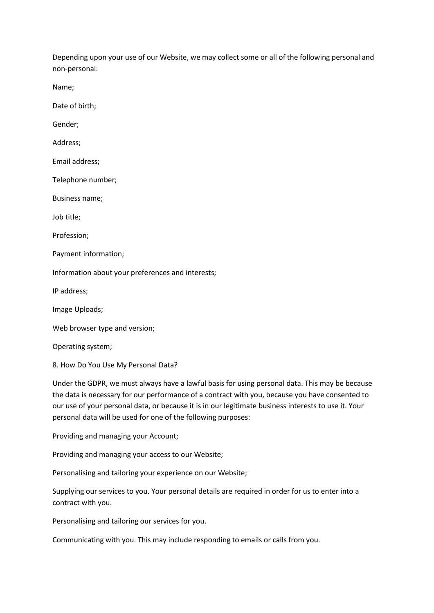Depending upon your use of our Website, we may collect some or all of the following personal and non-personal:

Name;

Date of birth;

Gender;

Address;

Email address;

Telephone number;

Business name;

Job title;

Profession;

Payment information;

Information about your preferences and interests;

IP address;

Image Uploads;

Web browser type and version;

Operating system;

8. How Do You Use My Personal Data?

Under the GDPR, we must always have a lawful basis for using personal data. This may be because the data is necessary for our performance of a contract with you, because you have consented to our use of your personal data, or because it is in our legitimate business interests to use it. Your personal data will be used for one of the following purposes:

Providing and managing your Account;

Providing and managing your access to our Website;

Personalising and tailoring your experience on our Website;

Supplying our services to you. Your personal details are required in order for us to enter into a contract with you.

Personalising and tailoring our services for you.

Communicating with you. This may include responding to emails or calls from you.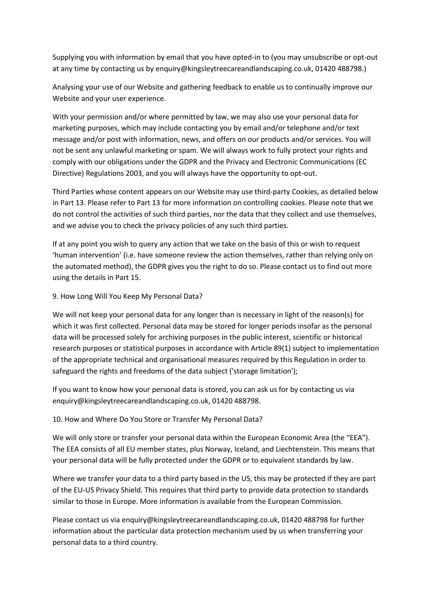Supplying you with information by email that you have opted-in to (you may unsubscribe or opt-out at any time by contacting us by enquiry@kingsleytreecareandlandscaping.co.uk, 01420 488798.)

Analysing your use of our Website and gathering feedback to enable us to continually improve our Website and your user experience.

With your permission and/or where permitted by law, we may also use your personal data for marketing purposes, which may include contacting you by email and/or telephone and/or text message and/or post with information, news, and offers on our products and/or services. You will not be sent any unlawful marketing or spam. We will always work to fully protect your rights and comply with our obligations under the GDPR and the Privacy and Electronic Communications (EC Directive) Regulations 2003, and you will always have the opportunity to opt-out.

Third Parties whose content appears on our Website may use third-party Cookies, as detailed below in Part 13. Please refer to Part 13 for more information on controlling cookies. Please note that we do not control the activities of such third parties, nor the data that they collect and use themselves, and we advise you to check the privacy policies of any such third parties.

If at any point you wish to query any action that we take on the basis of this or wish to request 'human intervention' (i.e. have someone review the action themselves, rather than relying only on the automated method), the GDPR gives you the right to do so. Please contact us to find out more using the details in Part 15.

## 9. How Long Will You Keep My Personal Data?

We will not keep your personal data for any longer than is necessary in light of the reason(s) for which it was first collected. Personal data may be stored for longer periods insofar as the personal data will be processed solely for archiving purposes in the public interest, scientific or historical research purposes or statistical purposes in accordance with Article 89(1) subject to implementation of the appropriate technical and organisational measures required by this Regulation in order to safeguard the rights and freedoms of the data subject ('storage limitation');

If you want to know how your personal data is stored, you can ask us for by contacting us via enquiry@kingsleytreecareandlandscaping.co.uk, 01420 488798.

10. How and Where Do You Store or Transfer My Personal Data?

We will only store or transfer your personal data within the European Economic Area (the "EEA"). The EEA consists of all EU member states, plus Norway, Iceland, and Liechtenstein. This means that your personal data will be fully protected under the GDPR or to equivalent standards by law.

Where we transfer your data to a third party based in the US, this may be protected if they are part of the EU-US Privacy Shield. This requires that third party to provide data protection to standards similar to those in Europe. More information is available from the European Commission.

Please contact us via enquiry@kingsleytreecareandlandscaping.co.uk, 01420 488798 for further information about the particular data protection mechanism used by us when transferring your personal data to a third country.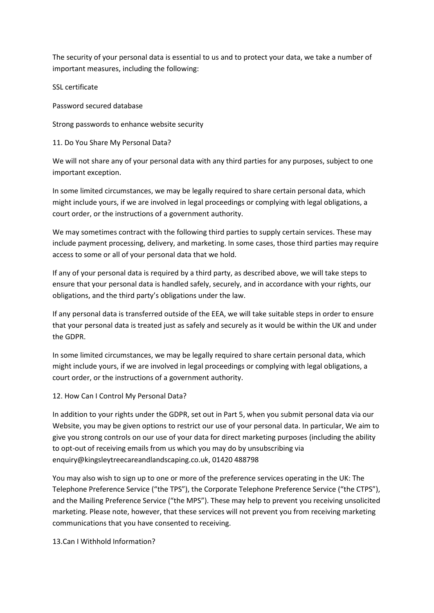The security of your personal data is essential to us and to protect your data, we take a number of important measures, including the following:

SSL certificate

Password secured database

Strong passwords to enhance website security

11. Do You Share My Personal Data?

We will not share any of your personal data with any third parties for any purposes, subject to one important exception.

In some limited circumstances, we may be legally required to share certain personal data, which might include yours, if we are involved in legal proceedings or complying with legal obligations, a court order, or the instructions of a government authority.

We may sometimes contract with the following third parties to supply certain services. These may include payment processing, delivery, and marketing. In some cases, those third parties may require access to some or all of your personal data that we hold.

If any of your personal data is required by a third party, as described above, we will take steps to ensure that your personal data is handled safely, securely, and in accordance with your rights, our obligations, and the third party's obligations under the law.

If any personal data is transferred outside of the EEA, we will take suitable steps in order to ensure that your personal data is treated just as safely and securely as it would be within the UK and under the GDPR.

In some limited circumstances, we may be legally required to share certain personal data, which might include yours, if we are involved in legal proceedings or complying with legal obligations, a court order, or the instructions of a government authority.

### 12. How Can I Control My Personal Data?

In addition to your rights under the GDPR, set out in Part 5, when you submit personal data via our Website, you may be given options to restrict our use of your personal data. In particular, We aim to give you strong controls on our use of your data for direct marketing purposes (including the ability to opt-out of receiving emails from us which you may do by unsubscribing via enquiry@kingsleytreecareandlandscaping.co.uk, 01420 488798

You may also wish to sign up to one or more of the preference services operating in the UK: The Telephone Preference Service ("the TPS"), the Corporate Telephone Preference Service ("the CTPS"), and the Mailing Preference Service ("the MPS"). These may help to prevent you receiving unsolicited marketing. Please note, however, that these services will not prevent you from receiving marketing communications that you have consented to receiving.

13.Can I Withhold Information?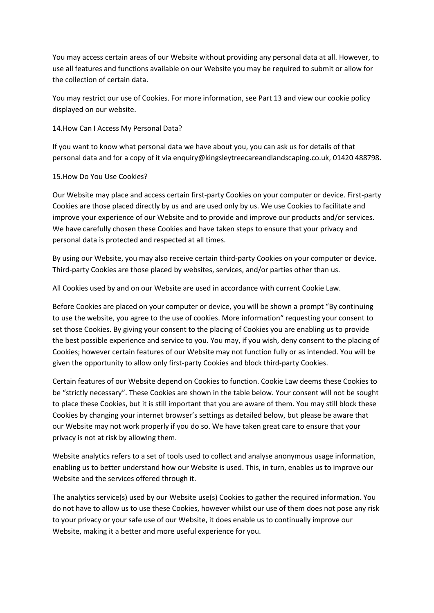You may access certain areas of our Website without providing any personal data at all. However, to use all features and functions available on our Website you may be required to submit or allow for the collection of certain data.

You may restrict our use of Cookies. For more information, see Part 13 and view our cookie policy displayed on our website.

14.How Can I Access My Personal Data?

If you want to know what personal data we have about you, you can ask us for details of that personal data and for a copy of it via enquiry@kingsleytreecareandlandscaping.co.uk, 01420 488798.

## 15.How Do You Use Cookies?

Our Website may place and access certain first-party Cookies on your computer or device. First-party Cookies are those placed directly by us and are used only by us. We use Cookies to facilitate and improve your experience of our Website and to provide and improve our products and/or services. We have carefully chosen these Cookies and have taken steps to ensure that your privacy and personal data is protected and respected at all times.

By using our Website, you may also receive certain third-party Cookies on your computer or device. Third-party Cookies are those placed by websites, services, and/or parties other than us.

All Cookies used by and on our Website are used in accordance with current Cookie Law.

Before Cookies are placed on your computer or device, you will be shown a prompt "By continuing to use the website, you agree to the use of cookies. More information" requesting your consent to set those Cookies. By giving your consent to the placing of Cookies you are enabling us to provide the best possible experience and service to you. You may, if you wish, deny consent to the placing of Cookies; however certain features of our Website may not function fully or as intended. You will be given the opportunity to allow only first-party Cookies and block third-party Cookies.

Certain features of our Website depend on Cookies to function. Cookie Law deems these Cookies to be "strictly necessary". These Cookies are shown in the table below. Your consent will not be sought to place these Cookies, but it is still important that you are aware of them. You may still block these Cookies by changing your internet browser's settings as detailed below, but please be aware that our Website may not work properly if you do so. We have taken great care to ensure that your privacy is not at risk by allowing them.

Website analytics refers to a set of tools used to collect and analyse anonymous usage information, enabling us to better understand how our Website is used. This, in turn, enables us to improve our Website and the services offered through it.

The analytics service(s) used by our Website use(s) Cookies to gather the required information. You do not have to allow us to use these Cookies, however whilst our use of them does not pose any risk to your privacy or your safe use of our Website, it does enable us to continually improve our Website, making it a better and more useful experience for you.